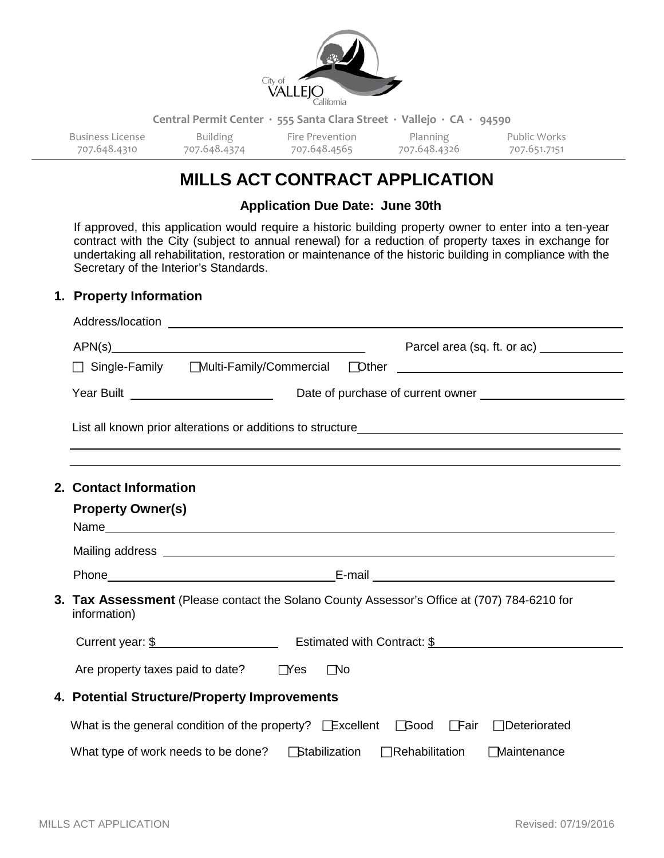

**Central Permit Center ∙ 555 Santa Clara Street ∙ Vallejo ∙ CA ∙ 94590**

| Business License | Building     | Fire Prevention | <b>Planning</b> | Public Works |
|------------------|--------------|-----------------|-----------------|--------------|
| 707.648.4310     | 707.648.4374 | 707.648.4565    | 707.648.4326    | 707.651.7151 |

# **MILLS ACT CONTRACT APPLICATION**

**Application Due Date: June 30th**

If approved, this application would require a historic building property owner to enter into a ten-year contract with the City (subject to annual renewal) for a reduction of property taxes in exchange for undertaking all rehabilitation, restoration or maintenance of the historic building in compliance with the Secretary of the Interior's Standards.

#### **1. Property Information**

|  | □ Single-Family Multi-Family/Commercial Dther _________________________________                                                                                                                                                      |  |  |  |  |  |
|--|--------------------------------------------------------------------------------------------------------------------------------------------------------------------------------------------------------------------------------------|--|--|--|--|--|
|  |                                                                                                                                                                                                                                      |  |  |  |  |  |
|  |                                                                                                                                                                                                                                      |  |  |  |  |  |
|  | 2. Contact Information                                                                                                                                                                                                               |  |  |  |  |  |
|  | <b>Property Owner(s)</b>                                                                                                                                                                                                             |  |  |  |  |  |
|  | Mailing address <u>example and the contract of the contract of the contract of the contract of the contract of the contract of the contract of the contract of the contract of the contract of the contract of the contract of t</u> |  |  |  |  |  |
|  |                                                                                                                                                                                                                                      |  |  |  |  |  |
|  | 3. Tax Assessment (Please contact the Solano County Assessor's Office at (707) 784-6210 for<br>information)                                                                                                                          |  |  |  |  |  |
|  | Current year: $\frac{1}{2}$ example $\frac{1}{2}$ Estimated with Contract: $\frac{1}{2}$                                                                                                                                             |  |  |  |  |  |
|  | Are property taxes paid to date? $\Box$ Yes<br>$\Box$ No                                                                                                                                                                             |  |  |  |  |  |
|  | 4. Potential Structure/Property Improvements<br>What is the general condition of the property? Excellent Good Fair Deteriorated                                                                                                      |  |  |  |  |  |
|  |                                                                                                                                                                                                                                      |  |  |  |  |  |
|  | What type of work needs to be done? <b>Stabilization</b><br><b>Maintenance</b><br>$\Box$ Rehabilitation                                                                                                                              |  |  |  |  |  |